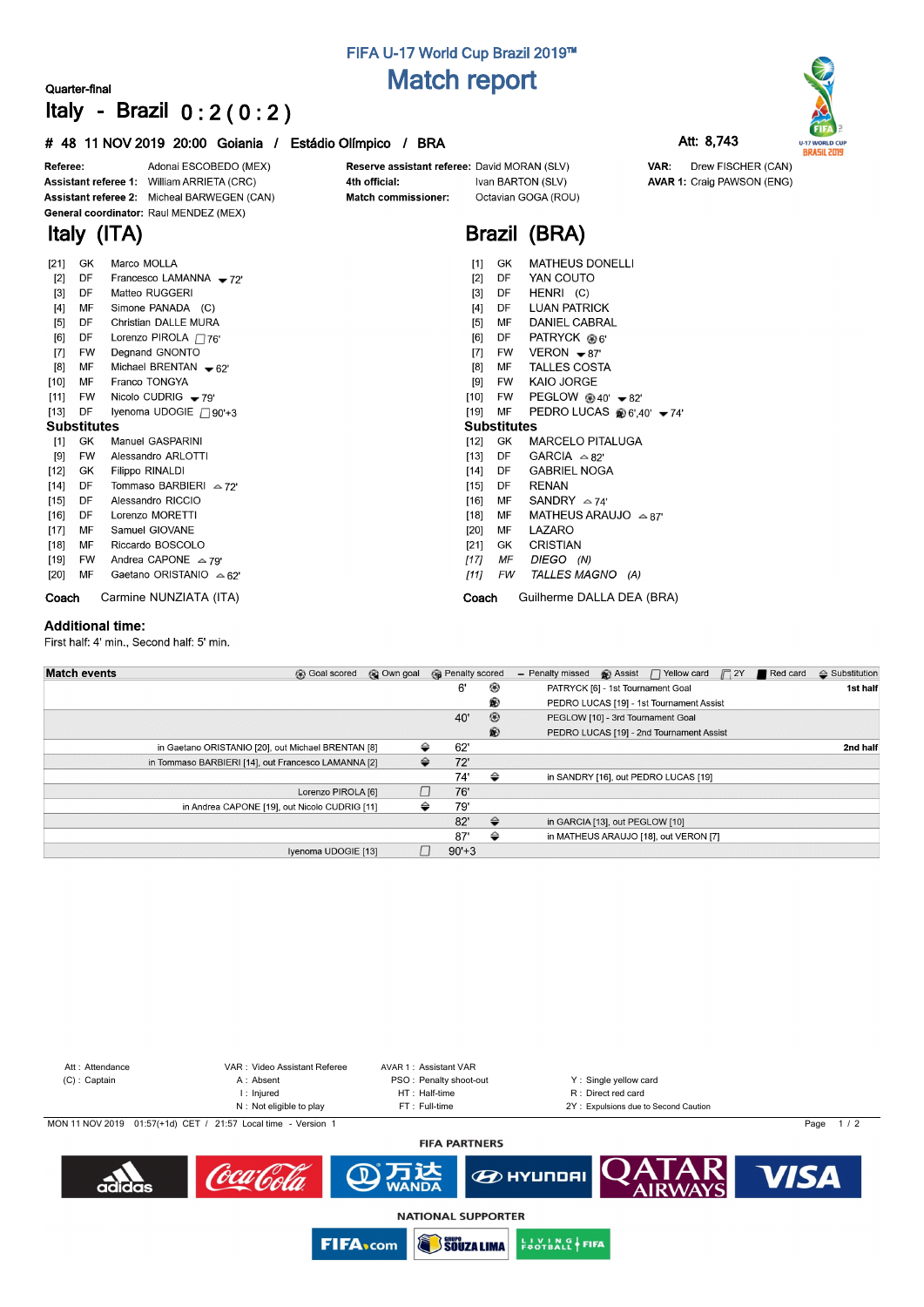## **FIFA U-17 World Cup Brazil 2019™ Match report**

Reserve assistant referee: David MORAN (SLV)

4th official:

Match commissioner:

### **Quarter-final Italy - Brazil 0 : 2 ( 0 : 2 )**

#### **# 48 11 NOV 2019 20:00 Goiania / Estádio Olímpico / BRA Att: 8,743**



**AVAR 1: Craig PAWSON (ENG)** 

Drew FISCHER (CAN)

VAR:



Adonai ESCOBEDO (MEX) Referee: Assistant referee 1: William ARRIETA (CRC) Assistant referee 2: Micheal BARWEGEN (CAN) General coordinator: Raul MENDEZ (MEX)

## **Italy (ITA)**

| $[21]$      | GK.       | Marco MOLLA                       |  |  |  |  |  |  |  |
|-------------|-----------|-----------------------------------|--|--|--|--|--|--|--|
| $[2]$       | DF        | Francesco LAMANNA - 72            |  |  |  |  |  |  |  |
| $[3]$       | DF        | Matteo RUGGERI                    |  |  |  |  |  |  |  |
| MF<br>$[4]$ |           | Simone PANADA (C)                 |  |  |  |  |  |  |  |
| $[5]$       | DF        | Christian DALLE MURA              |  |  |  |  |  |  |  |
| [6]         | DF        | Lorenzo PIROLA $\Box$ 76'         |  |  |  |  |  |  |  |
| $[7]$       | FW.       | Degnand GNONTO                    |  |  |  |  |  |  |  |
| [8]         | MF        | Michael BRENTAN $\div$ 62'        |  |  |  |  |  |  |  |
| $[10]$      | MF        | Franco TONGYA                     |  |  |  |  |  |  |  |
| [11]        | <b>FW</b> | Nicolo CUDRIG $-79'$              |  |  |  |  |  |  |  |
| $[13]$      | DF        | lyenoma UDOGIE / 90'+3            |  |  |  |  |  |  |  |
| Substitutes |           |                                   |  |  |  |  |  |  |  |
| [1]         | GK.       | Manuel GASPARINI                  |  |  |  |  |  |  |  |
| [9]         | FW.       | Alessandro ARLOTTI                |  |  |  |  |  |  |  |
| $[12]$      | GK.       | Filippo RINALDI                   |  |  |  |  |  |  |  |
| $[14]$      | DF        | Tommaso BARBIERI $\approx$ 72'    |  |  |  |  |  |  |  |
| $[15]$      | DF        | Alessandro RICCIO                 |  |  |  |  |  |  |  |
| [16]        | DF        | Lorenzo MORETTI                   |  |  |  |  |  |  |  |
| $[17]$      | MF        | Samuel GIOVANE                    |  |  |  |  |  |  |  |
| [18]        | MF        | Riccardo BOSCOLO                  |  |  |  |  |  |  |  |
| $[19]$      | FW.       | Andrea CAPONE $\approx$ 79'       |  |  |  |  |  |  |  |
| [20]        | MF        | Gaetano ORISTANIO $\triangle$ 62' |  |  |  |  |  |  |  |
| Coach       |           | Carmine NUNZIATA (ITA)            |  |  |  |  |  |  |  |

| [1]                | GK -   | <b>MATHEUS DONELLI</b>                         |  |  |  |  |  |  |  |  |  |  |
|--------------------|--------|------------------------------------------------|--|--|--|--|--|--|--|--|--|--|
| [2]                | DF a   | YAN COUTO                                      |  |  |  |  |  |  |  |  |  |  |
|                    | [3] DF | HENRI (C)                                      |  |  |  |  |  |  |  |  |  |  |
|                    |        | <b>LUAN PATRICK</b>                            |  |  |  |  |  |  |  |  |  |  |
|                    | [4] DF |                                                |  |  |  |  |  |  |  |  |  |  |
|                    | [5] MF | <b>DANIEL CABRAL</b>                           |  |  |  |  |  |  |  |  |  |  |
|                    |        | [6] DF PATRYCK $@6'$                           |  |  |  |  |  |  |  |  |  |  |
|                    |        | [7] FW VERON $\bullet$ 87'                     |  |  |  |  |  |  |  |  |  |  |
|                    |        | [8] MF TALLES COSTA                            |  |  |  |  |  |  |  |  |  |  |
|                    |        | [9] FW KAIO JORGE                              |  |  |  |  |  |  |  |  |  |  |
| [10] FW            |        | PEGLOW <sup>®</sup> 40' <del>▼</del> 82'       |  |  |  |  |  |  |  |  |  |  |
| [19] MF            |        | PEDRO LUCAS @ 6',40' $\blacktriangleright$ 74' |  |  |  |  |  |  |  |  |  |  |
| <b>Substitutes</b> |        |                                                |  |  |  |  |  |  |  |  |  |  |
| [12] GK            |        | <b>MARCELO PITALUGA</b>                        |  |  |  |  |  |  |  |  |  |  |
|                    |        | [13] DF GARCIA $\approx$ 82'                   |  |  |  |  |  |  |  |  |  |  |
|                    |        | [14] DF GABRIEL NOGA                           |  |  |  |  |  |  |  |  |  |  |
| [15] DF            |        | <b>RENAN</b>                                   |  |  |  |  |  |  |  |  |  |  |
|                    |        | [16] MF SANDRY $\approx$ 74'                   |  |  |  |  |  |  |  |  |  |  |
| [18] MF            |        | MATHEUS ARAUJO $\approx 87'$                   |  |  |  |  |  |  |  |  |  |  |
| [20] MF            |        | LAZARO                                         |  |  |  |  |  |  |  |  |  |  |
|                    |        | [21] GK CRISTIAN                               |  |  |  |  |  |  |  |  |  |  |
|                    |        | [17] MF DIEGO (N)                              |  |  |  |  |  |  |  |  |  |  |
|                    |        | [11] FW TALLES MAGNO (A)                       |  |  |  |  |  |  |  |  |  |  |
|                    |        | <b>Coach</b> Guilherme DALLA DEA (BRA)         |  |  |  |  |  |  |  |  |  |  |

**Brazil (BRA)**

Ivan BARTON (SLV)

Octavian GOGA (ROU)

#### **Additional time:**

First half: 4' min., Second half: 5' min.

| <b>Match events</b> | <b>B</b> Goal scored                                | © Own goal |   | <b>B</b> Penalty scored |                                        | - Penalty missed                |  | $\bigcirc$ Assist $\bigcap$ Yellow card $\bigcap$ 2Y |  | Red card | $\triangle$ Substitution |
|---------------------|-----------------------------------------------------|------------|---|-------------------------|----------------------------------------|---------------------------------|--|------------------------------------------------------|--|----------|--------------------------|
|                     |                                                     |            |   | 6'                      | ⊛<br>PATRYCK [6] - 1st Tournament Goal |                                 |  |                                                      |  |          | 1st half                 |
|                     |                                                     |            |   |                         | ⊛                                      |                                 |  | PEDRO LUCAS [19] - 1st Tournament Assist             |  |          |                          |
|                     |                                                     |            |   | 40'                     | $\circledcirc$                         |                                 |  | PEGLOW [10] - 3rd Tournament Goal                    |  |          |                          |
|                     |                                                     |            |   |                         | $\circledR$                            |                                 |  | PEDRO LUCAS [19] - 2nd Tournament Assist             |  |          |                          |
|                     | in Gaetano ORISTANIO [20], out Michael BRENTAN [8]  |            | ⇔ | 62'                     |                                        |                                 |  |                                                      |  |          | 2nd half                 |
|                     | in Tommaso BARBIERI [14], out Francesco LAMANNA [2] |            | ⇔ | 72'                     |                                        |                                 |  |                                                      |  |          |                          |
|                     |                                                     |            |   | 74'                     | ⇔                                      |                                 |  | in SANDRY [16], out PEDRO LUCAS [19]                 |  |          |                          |
|                     | Lorenzo PIROLA [6]                                  |            |   | 76'                     |                                        |                                 |  |                                                      |  |          |                          |
|                     | in Andrea CAPONE [19], out Nicolo CUDRIG [11]       |            | ⇔ | 79'                     |                                        |                                 |  |                                                      |  |          |                          |
|                     |                                                     |            |   | 82'                     | $\Rightarrow$                          | in GARCIA [13], out PEGLOW [10] |  |                                                      |  |          |                          |
|                     |                                                     |            |   | 87'                     | ⇔                                      |                                 |  | in MATHEUS ARAUJO [18], out VERON [7]                |  |          |                          |
|                     | Iyenoma UDOGIE [13]                                 |            |   | $90'+3$                 |                                        |                                 |  |                                                      |  |          |                          |



**SOUZA LIMA** 

**EUVING FIFA** 

**FIFA**<sub>com</sub>